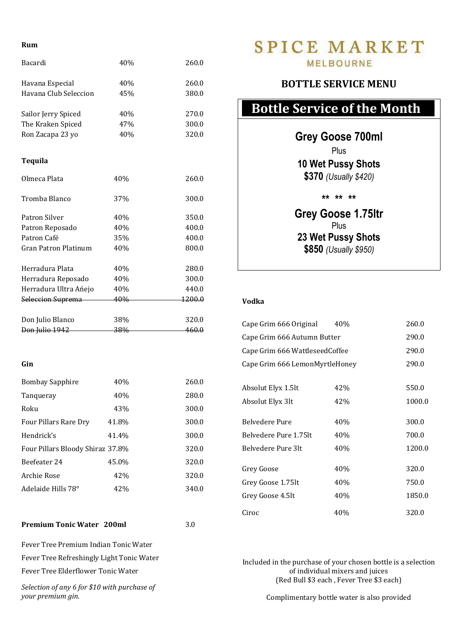#### **Rum**

| 40%<br>45%<br>40% | 260.0<br>380.0                                |
|-------------------|-----------------------------------------------|
|                   |                                               |
|                   |                                               |
|                   |                                               |
|                   | 270.0                                         |
| 47%               | 300.0                                         |
| 40%               | 320.0                                         |
|                   |                                               |
|                   |                                               |
| 40%               | 260.0                                         |
|                   | 300.0                                         |
|                   |                                               |
| 40%               | 350.0                                         |
|                   | 400.0                                         |
|                   | 400.0                                         |
|                   | 800.0                                         |
|                   | 280.0                                         |
| 40%               | 300.0                                         |
| 40%               | 440.0                                         |
| 40%               | 1200.0                                        |
|                   |                                               |
|                   | 320.0                                         |
|                   | 460.0                                         |
|                   |                                               |
|                   |                                               |
|                   |                                               |
| 40%               | 260.0                                         |
| 40%               | 280.0                                         |
| 43%               | 300.0                                         |
|                   | 37%<br>40%<br>35%<br>40%<br>40%<br>38%<br>38% |

## Hendrick's 41.4% 300.0 Four Pillars Bloody Shiraz 37.8% 320.0 Beefeater 24 45.0% 320.0 Archie Rose 42% 320.0 Adelaide Hills 78°  $42\%$  340.0

#### **Premium Tonic Water 200ml 3.0**

Fever Tree Premium Indian Tonic Water Fever Tree Refreshingly Light Tonic Water Fever Tree Elderflower Tonic Water

*Selection of any 6 for \$10 with purchase of your premium gin.*

## **SPICE MARKET MELBOURNE**

### **BOTTLE SERVICE MENU**

# **Bottle Service of the Month**

**Grey Goose 700ml**

Plus

**10 Wet Pussy Shots \$370** *(Usually \$420)*

**\*\* \*\* \*\***

**Grey Goose 1.75ltr** Plus **23 Wet Pussy Shots \$850** *(Usually \$950)*

#### **Vodka**

| Cape Grim 666 Original         | 40% | 260.0  |
|--------------------------------|-----|--------|
| Cape Grim 666 Autumn Butter    |     | 290.0  |
| Cape Grim 666 WattleseedCoffee |     | 290.0  |
| Cape Grim 666 LemonMyrtleHoney |     | 290.0  |
|                                |     |        |
| Absolut Elyx 1.5lt             | 42% | 550.0  |
| Absolut Elyx 3lt               | 42% | 1000.0 |
|                                |     |        |
| <b>Belvedere Pure</b>          | 40% | 300.0  |
| Belvedere Pure 1.75lt          | 40% | 700.0  |
| Belvedere Pure 3lt             | 40% | 1200.0 |
|                                |     |        |
| Grey Goose                     | 40% | 320.0  |
| Grey Goose 1.75lt              | 40% | 750.0  |
| Grey Goose 4.5lt               | 40% | 1850.0 |
| Ciroc                          | 40% | 320.0  |

Included in the purchase of your chosen bottle is a selection of individual mixers and juices (Red Bull \$3 each , Fever Tree \$3 each)

Complimentary bottle water is also provided